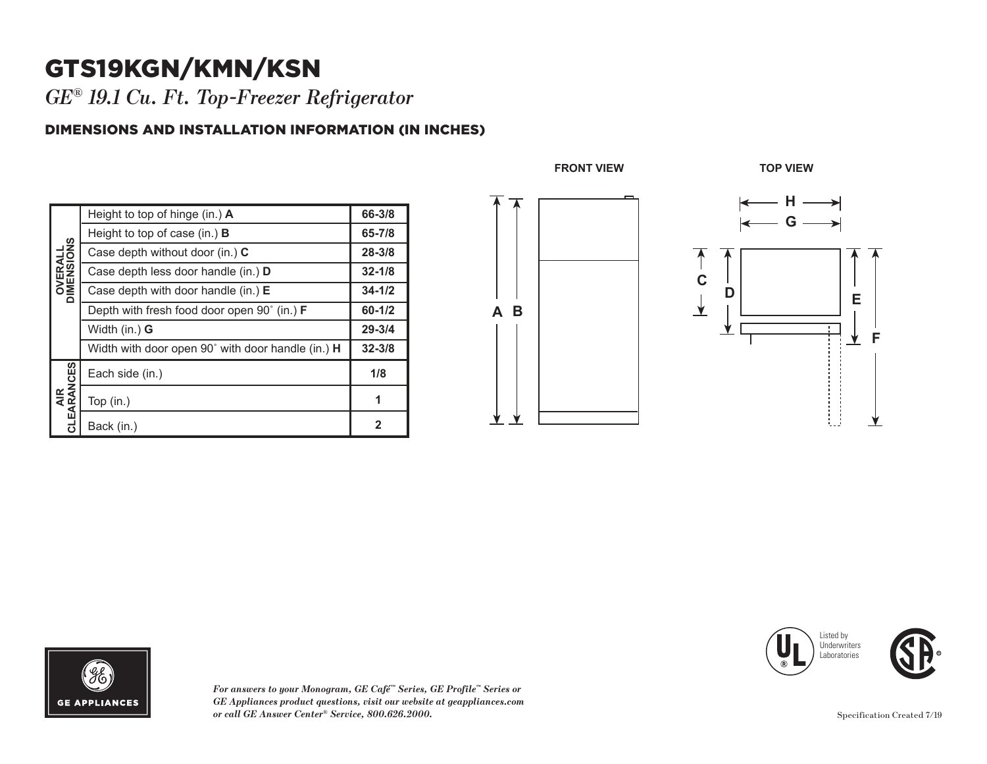## GTS19KGN/KMN/KSN

*GE® 19.1 Cu. Ft. Top-Freezer Refrigerator* 

## DIMENSIONS AND INSTALLATION INFORMATION (IN INCHES)

| <b>OVERALL</b><br>DIMENSIONS | Height to top of hinge (in.) A                           | 66-3/8       |
|------------------------------|----------------------------------------------------------|--------------|
|                              | Height to top of case (in.) $\bf{B}$                     | 65-7/8       |
|                              | Case depth without door (in.) C                          | $28 - 3/8$   |
|                              | Case depth less door handle (in.) <b>D</b>               | $32 - 1/8$   |
|                              | Case depth with door handle (in.) $E$                    | $34 - 1/2$   |
|                              | Depth with fresh food door open 90° (in.) <b>F</b>       | $60 - 1/2$   |
|                              | Width (in.) G                                            | $29 - 3/4$   |
|                              | Width with door open 90° with door handle (in.) <b>H</b> | $32 - 3/8$   |
| AIR<br>CLEARANCES            | Each side (in.)                                          | 1/8          |
|                              | Top $(in.)$                                              | 1            |
|                              | Back (in.)                                               | $\mathbf{2}$ |









*For answers to your Monogram, GE Café™ Series, GE Profile™ Series or GE Appliances product questions, visit our website at geappliances.com or call GE Answer Center® Service, 800.626.2000.*

Specification Created 7/19